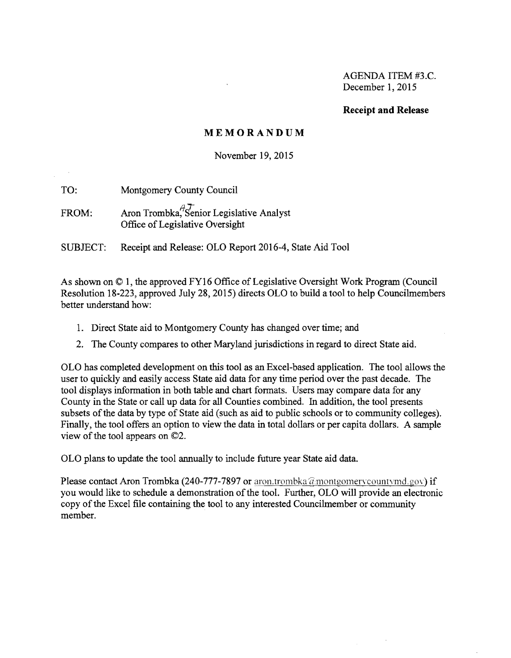AGENDA ITEM #3.C. December 1, 2015

## **Receipt and Release**

 $\sim$ 

## **MEMORANDUM**

November 19,2015

| TO:   | Montgomery County Council                                                   |
|-------|-----------------------------------------------------------------------------|
| FROM: | Aron Trombka, Senior Legislative Analyst<br>Office of Legislative Oversight |

SUBJECT: Receipt and Release: OLO Report 2016-4, State Aid Tool

As shown on © 1, the approved FY16 Office of Legislative Oversight Work Program (Council Resolution 18-223, approved July 28, 2015) directs OLO to build a tool to help Councilmembers better understand how:

- 1. Direct State aid to Montgomery County has changed over time; and
- 2. The County compares to other Maryland jurisdictions in regard to direct State aid.

OLO has completed development on this tool as an Excel-based application. The tool allows the user to quickly and easily access State aid data for any time period over the past decade. The tool displays information in both table and chart formats. Users may compare data for any County in the State or call up data for all Counties combined. In addition, the tool presents subsets of the data by type of State aid (such as aid to public schools or to community colleges). Finally, the tool offers an option to view the data in total dollars or per capita dollars. A sample view of the tool appears on  $\mathbb{O}2$ .

OLO plans to update the tool annually to include future year State aid data.

Please contact Aron Trombka (240-777-7897 or aron.trombka $\widehat{a}$  montgomery countymd.gov) if you would like to schedule a demonstration of the tool. Further, OLO will provide an electronic copy of the Excel file containing the tool to any interested Councilmember or community member.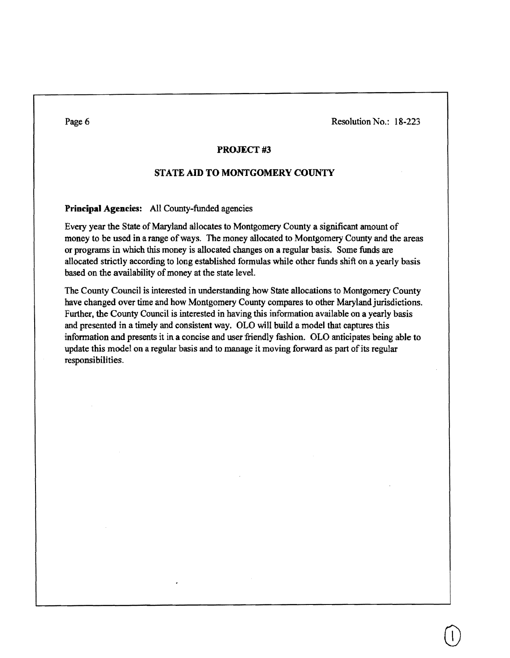Page 6 Resolution No.: 18-223

## PROJECT #3

## STATE AID TO MONTGOMERY COUNTY

Principal Agencies: All County-funded agencies

Every year the State of Maryland allocates to Montgomery County a significant amount of money to be used in a range of ways. The money allocated to Montgomery County and the areas or programs in which this money is allocated changes on a regular basis. Some funds are allocated strictly according to long established formulas while other funds shift on a yearly basis based on the availability of money at the state level.

The County Council is interested in understanding how State allocations to Montgomery County have changed over time and how Montgomery County compares to other Maryland jurisdictions. Further. the County Council is interested in having this information available on a yearly basis and presented in a timely and consistent way. OLO will build a model that captures this information and presents it in a concise and user friendly fashion. OLO anticipates being able to update this model on a regular basis and to manage it moving forward as part of its regular responsibilities.